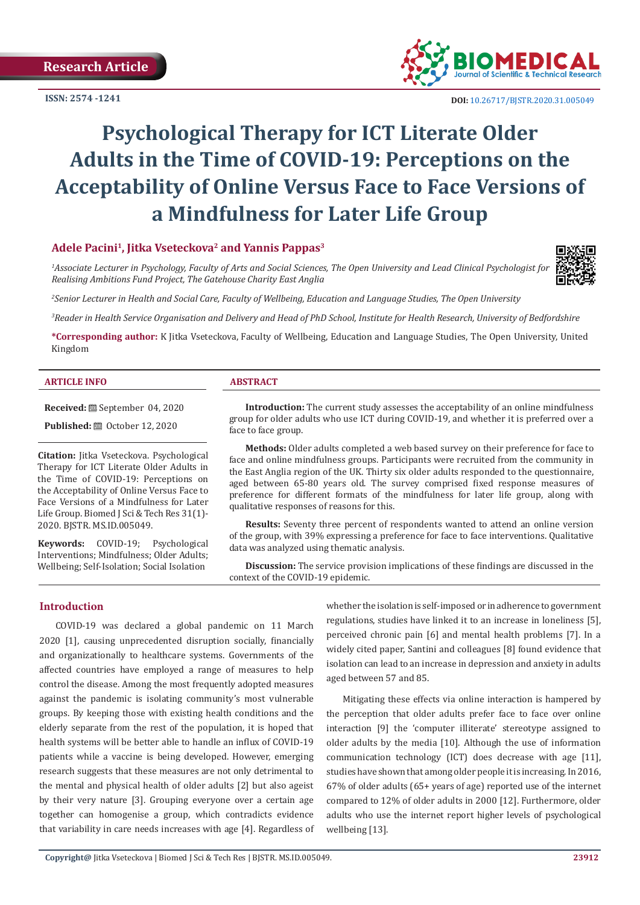**ISSN: 2574 -1241**



 **DOI:** [10.26717/BJSTR.2020.31.005049](http://dx.doi.org/10.26717/BJSTR.2020.31.005049)

# **Psychological Therapy for ICT Literate Older Adults in the Time of COVID-19: Perceptions on the Acceptability of Online Versus Face to Face Versions of a Mindfulness for Later Life Group**

# **Adele Pacini1, Jitka Vseteckova2 and Yannis Pappas3**

*1 Associate Lecturer in Psychology, Faculty of Arts and Social Sciences, The Open University and Lead Clinical Psychologist for Realising Ambitions Fund Project, The Gatehouse Charity East Anglia*

*2 Senior Lecturer in Health and Social Care, Faculty of Wellbeing, Education and Language Studies, The Open University*

*3 Reader in Health Service Organisation and Delivery and Head of PhD School, Institute for Health Research, University of Bedfordshire*

**\*Corresponding author:** K Jitka Vseteckova, Faculty of Wellbeing, Education and Language Studies, The Open University, United Kingdom

#### **ARTICLE INFO ABSTRACT**

**Received:** September 04, 2020

**Published:** ■ October 12, 2020

**Citation:** Jitka Vseteckova. Psychological Therapy for ICT Literate Older Adults in the Time of COVID-19: Perceptions on the Acceptability of Online Versus Face to Face Versions of a Mindfulness for Later Life Group. Biomed J Sci & Tech Res 31(1)- 2020. BJSTR. MS.ID.005049.

**Keywords:** COVID-19; Psychological Interventions; Mindfulness; Older Adults; Wellbeing; Self-Isolation; Social Isolation

**Introduction:** The current study assesses the acceptability of an online mindfulness group for older adults who use ICT during COVID-19, and whether it is preferred over a face to face group.

**Methods:** Older adults completed a web based survey on their preference for face to face and online mindfulness groups. Participants were recruited from the community in the East Anglia region of the UK. Thirty six older adults responded to the questionnaire, aged between 65-80 years old. The survey comprised fixed response measures of preference for different formats of the mindfulness for later life group, along with qualitative responses of reasons for this.

**Results:** Seventy three percent of respondents wanted to attend an online version of the group, with 39% expressing a preference for face to face interventions. Qualitative data was analyzed using thematic analysis.

**Discussion:** The service provision implications of these findings are discussed in the context of the COVID-19 epidemic.

# **Introduction**

COVID-19 was declared a global pandemic on 11 March 2020 [1], causing unprecedented disruption socially, financially and organizationally to healthcare systems. Governments of the affected countries have employed a range of measures to help control the disease. Among the most frequently adopted measures against the pandemic is isolating community's most vulnerable groups. By keeping those with existing health conditions and the elderly separate from the rest of the population, it is hoped that health systems will be better able to handle an influx of COVID-19 patients while a vaccine is being developed. However, emerging research suggests that these measures are not only detrimental to the mental and physical health of older adults [2] but also ageist by their very nature [3]. Grouping everyone over a certain age together can homogenise a group, which contradicts evidence that variability in care needs increases with age [4]. Regardless of whether the isolation is self-imposed or in adherence to government regulations, studies have linked it to an increase in loneliness [5], perceived chronic pain [6] and mental health problems [7]. In a widely cited paper, Santini and colleagues [8] found evidence that isolation can lead to an increase in depression and anxiety in adults aged between 57 and 85.

Mitigating these effects via online interaction is hampered by the perception that older adults prefer face to face over online interaction [9] the 'computer illiterate' stereotype assigned to older adults by the media [10]. Although the use of information communication technology (ICT) does decrease with age [11], studies have shown that among older people it is increasing. In 2016, 67% of older adults (65+ years of age) reported use of the internet compared to 12% of older adults in 2000 [12]. Furthermore, older adults who use the internet report higher levels of psychological wellbeing [13].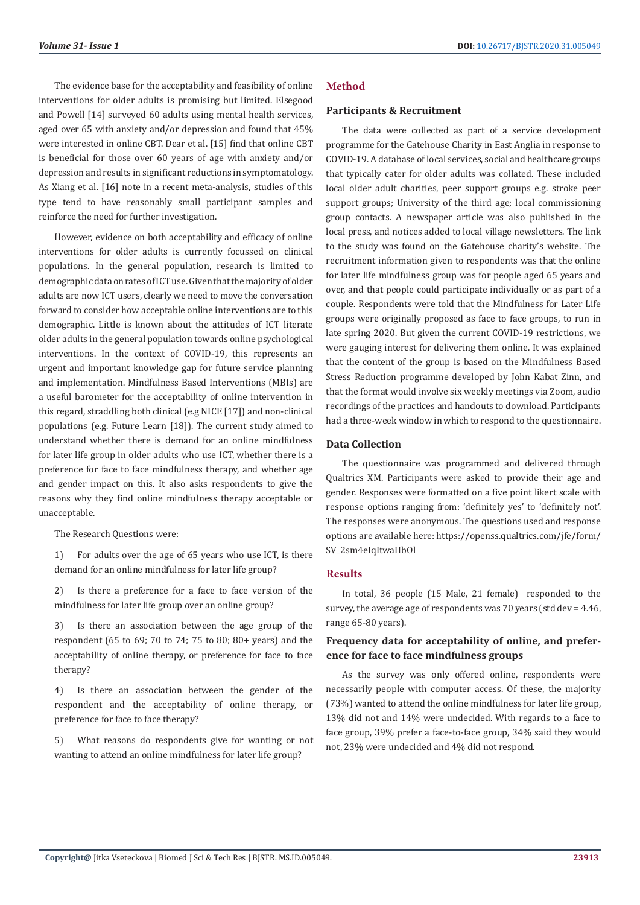The evidence base for the acceptability and feasibility of online interventions for older adults is promising but limited. Elsegood and Powell [14] surveyed 60 adults using mental health services, aged over 65 with anxiety and/or depression and found that 45% were interested in online CBT. Dear et al. [15] find that online CBT is beneficial for those over 60 years of age with anxiety and/or depression and results in significant reductions in symptomatology. As Xiang et al. [16] note in a recent meta-analysis, studies of this type tend to have reasonably small participant samples and reinforce the need for further investigation.

However, evidence on both acceptability and efficacy of online interventions for older adults is currently focussed on clinical populations. In the general population, research is limited to demographic data on rates of ICT use. Given that the majority of older adults are now ICT users, clearly we need to move the conversation forward to consider how acceptable online interventions are to this demographic. Little is known about the attitudes of ICT literate older adults in the general population towards online psychological interventions. In the context of COVID-19, this represents an urgent and important knowledge gap for future service planning and implementation. Mindfulness Based Interventions (MBIs) are a useful barometer for the acceptability of online intervention in this regard, straddling both clinical (e.g NICE [17]) and non-clinical populations (e.g. Future Learn [18]). The current study aimed to understand whether there is demand for an online mindfulness for later life group in older adults who use ICT, whether there is a preference for face to face mindfulness therapy, and whether age and gender impact on this. It also asks respondents to give the reasons why they find online mindfulness therapy acceptable or unacceptable.

The Research Questions were:

1) For adults over the age of 65 years who use ICT, is there demand for an online mindfulness for later life group?

2) Is there a preference for a face to face version of the mindfulness for later life group over an online group?

3) Is there an association between the age group of the respondent (65 to 69; 70 to 74; 75 to 80; 80+ years) and the acceptability of online therapy, or preference for face to face therapy?

4) Is there an association between the gender of the respondent and the acceptability of online therapy, or preference for face to face therapy?

5) What reasons do respondents give for wanting or not wanting to attend an online mindfulness for later life group?

# **Method**

#### **Participants & Recruitment**

The data were collected as part of a service development programme for the Gatehouse Charity in East Anglia in response to COVID-19. A database of local services, social and healthcare groups that typically cater for older adults was collated. These included local older adult charities, peer support groups e.g. stroke peer support groups; University of the third age; local commissioning group contacts. A newspaper article was also published in the local press, and notices added to local village newsletters. The link to the study was found on the Gatehouse charity's website. The recruitment information given to respondents was that the online for later life mindfulness group was for people aged 65 years and over, and that people could participate individually or as part of a couple. Respondents were told that the Mindfulness for Later Life groups were originally proposed as face to face groups, to run in late spring 2020. But given the current COVID-19 restrictions, we were gauging interest for delivering them online. It was explained that the content of the group is based on the Mindfulness Based Stress Reduction programme developed by John Kabat Zinn, and that the format would involve six weekly meetings via Zoom, audio recordings of the practices and handouts to download. Participants had a three-week window in which to respond to the questionnaire.

# **Data Collection**

The questionnaire was programmed and delivered through Qualtrics XM. Participants were asked to provide their age and gender. Responses were formatted on a five point likert scale with response options ranging from: 'definitely yes' to 'definitely not'. The responses were anonymous. The questions used and response options are available here: https://openss.qualtrics.com/jfe/form/ SV\_2sm4eIqItwaHbOl

# **Results**

In total, 36 people (15 Male, 21 female) responded to the survey, the average age of respondents was 70 years (std dev = 4.46, range 65-80 years).

# **Frequency data for acceptability of online, and preference for face to face mindfulness groups**

As the survey was only offered online, respondents were necessarily people with computer access. Of these, the majority (73%) wanted to attend the online mindfulness for later life group, 13% did not and 14% were undecided. With regards to a face to face group, 39% prefer a face-to-face group, 34% said they would not, 23% were undecided and 4% did not respond.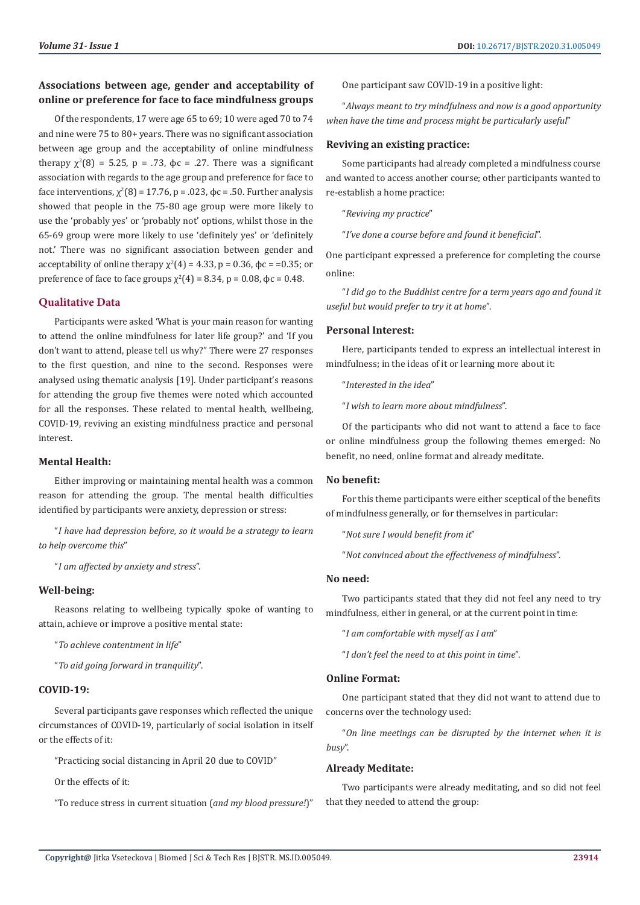# **Associations between age, gender and acceptability of online or preference for face to face mindfulness groups**

Of the respondents, 17 were age 65 to 69; 10 were aged 70 to 74 and nine were 75 to 80+ years. There was no significant association between age group and the acceptability of online mindfulness therapy  $\chi^2(8) = 5.25$ , p = .73,  $\phi$ c = .27. There was a significant association with regards to the age group and preference for face to face interventions,  $\chi^2(8)$  = 17.76, p = .023, φc = .50. Further analysis showed that people in the 75-80 age group were more likely to use the 'probably yes' or 'probably not' options, whilst those in the 65-69 group were more likely to use 'definitely yes' or 'definitely not.' There was no significant association between gender and acceptability of online therapy  $\chi^2(4) = 4.33$ , p = 0.36, φc = =0.35; or preference of face to face groups  $\chi^2(4)$  = 8.34, p = 0.08, φc = 0.48.

# **Qualitative Data**

Participants were asked 'What is your main reason for wanting to attend the online mindfulness for later life group?' and 'If you don't want to attend, please tell us why?" There were 27 responses to the first question, and nine to the second. Responses were analysed using thematic analysis [19]. Under participant's reasons for attending the group five themes were noted which accounted for all the responses. These related to mental health, wellbeing, COVID-19, reviving an existing mindfulness practice and personal interest.

# **Mental Health:**

Either improving or maintaining mental health was a common reason for attending the group. The mental health difficulties identified by participants were anxiety, depression or stress:

"*I have had depression before, so it would be a strategy to learn to help overcome this*"

"*I am affected by anxiety and stress*".

# **Well-being:**

Reasons relating to wellbeing typically spoke of wanting to attain, achieve or improve a positive mental state:

"*To achieve contentment in life*"

"*To aid going forward in tranquility*".

#### **COVID-19:**

Several participants gave responses which reflected the unique circumstances of COVID-19, particularly of social isolation in itself or the effects of it:

"Practicing social distancing in April 20 due to COVID"

Or the effects of it:

"To reduce stress in current situation (*and my blood pressure!*)"

One participant saw COVID-19 in a positive light:

"*Always meant to try mindfulness and now is a good opportunity when have the time and process might be particularly useful*"

# **Reviving an existing practice:**

Some participants had already completed a mindfulness course and wanted to access another course; other participants wanted to re-establish a home practice:

"*Reviving my practice*"

"*I've done a course before and found it beneficial*".

One participant expressed a preference for completing the course online:

"*I did go to the Buddhist centre for a term years ago and found it useful but would prefer to try it at home*".

# **Personal Interest:**

Here, participants tended to express an intellectual interest in mindfulness; in the ideas of it or learning more about it:

"*Interested in the idea*"

"*I wish to learn more about mindfulness*".

Of the participants who did not want to attend a face to face or online mindfulness group the following themes emerged: No benefit, no need, online format and already meditate.

#### **No benefit:**

For this theme participants were either sceptical of the benefits of mindfulness generally, or for themselves in particular:

"*Not sure I would benefit from it*"

"*Not convinced about the effectiveness of mindfulness*".

#### **No need:**

Two participants stated that they did not feel any need to try mindfulness, either in general, or at the current point in time:

"*I am comfortable with myself as I am*"

"*I don't feel the need to at this point in time*".

# **Online Format:**

One participant stated that they did not want to attend due to concerns over the technology used:

"*On line meetings can be disrupted by the internet when it is busy*".

#### **Already Meditate:**

Two participants were already meditating, and so did not feel that they needed to attend the group: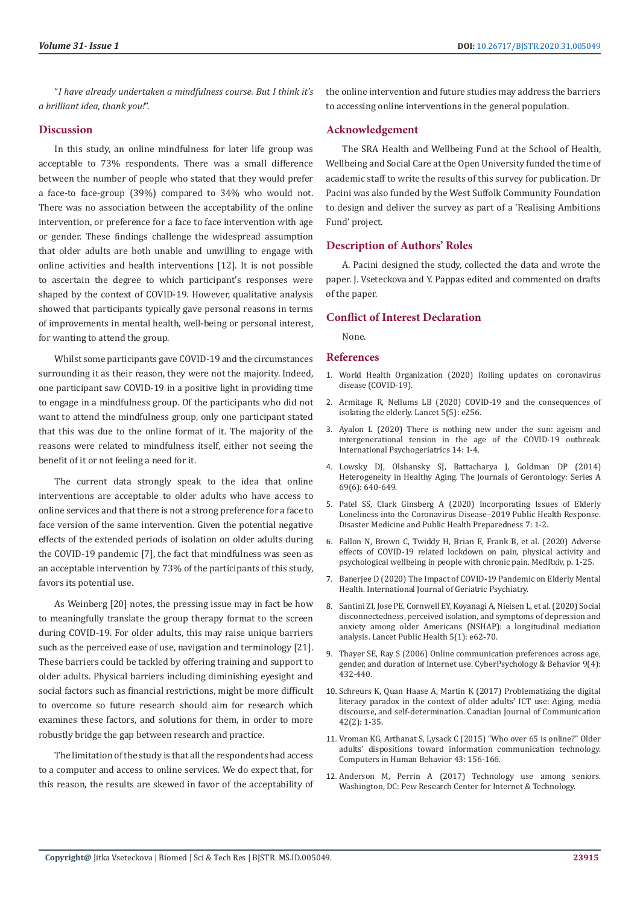"*I have already undertaken a mindfulness course. But I think it's a brilliant idea, thank you!*".

# **Discussion**

In this study, an online mindfulness for later life group was acceptable to 73% respondents. There was a small difference between the number of people who stated that they would prefer a face-to face-group (39%) compared to 34% who would not. There was no association between the acceptability of the online intervention, or preference for a face to face intervention with age or gender. These findings challenge the widespread assumption that older adults are both unable and unwilling to engage with online activities and health interventions [12]. It is not possible to ascertain the degree to which participant's responses were shaped by the context of COVID-19. However, qualitative analysis showed that participants typically gave personal reasons in terms of improvements in mental health, well-being or personal interest, for wanting to attend the group.

Whilst some participants gave COVID-19 and the circumstances surrounding it as their reason, they were not the majority. Indeed, one participant saw COVID-19 in a positive light in providing time to engage in a mindfulness group. Of the participants who did not want to attend the mindfulness group, only one participant stated that this was due to the online format of it. The majority of the reasons were related to mindfulness itself, either not seeing the benefit of it or not feeling a need for it.

The current data strongly speak to the idea that online interventions are acceptable to older adults who have access to online services and that there is not a strong preference for a face to face version of the same intervention. Given the potential negative effects of the extended periods of isolation on older adults during the COVID-19 pandemic [7], the fact that mindfulness was seen as an acceptable intervention by 73% of the participants of this study, favors its potential use.

As Weinberg [20] notes, the pressing issue may in fact be how to meaningfully translate the group therapy format to the screen during COVID-19. For older adults, this may raise unique barriers such as the perceived ease of use, navigation and terminology [21]. These barriers could be tackled by offering training and support to older adults. Physical barriers including diminishing eyesight and social factors such as financial restrictions, might be more difficult to overcome so future research should aim for research which examines these factors, and solutions for them, in order to more robustly bridge the gap between research and practice.

The limitation of the study is that all the respondents had access to a computer and access to online services. We do expect that, for this reason, the results are skewed in favor of the acceptability of the online intervention and future studies may address the barriers to accessing online interventions in the general population.

# **Acknowledgement**

The SRA Health and Wellbeing Fund at the School of Health, Wellbeing and Social Care at the Open University funded the time of academic staff to write the results of this survey for publication. Dr Pacini was also funded by the West Suffolk Community Foundation to design and deliver the survey as part of a 'Realising Ambitions Fund' project.

# **Description of Authors' Roles**

A. Pacini designed the study, collected the data and wrote the paper. J. Vseteckova and Y. Pappas edited and commented on drafts of the paper.

#### **Conflict of Interest Declaration**

None.

# **References**

- 1. [World Health Organization \(2020\) Rolling updates on coronavirus](https://www.who.int/emergencies/diseases/novel-coronavirus-2019/events-as-they-happen) [disease \(COVID-19\).](https://www.who.int/emergencies/diseases/novel-coronavirus-2019/events-as-they-happen)
- 2. [Armitage R, Nellums LB \(2020\) COVID-19 and the consequences of](https://www.thelancet.com/journals/lanpub/article/PIIS2468-2667(20)30061-X/fulltext) [isolating the elderly. Lancet 5\(5\): e256.](https://www.thelancet.com/journals/lanpub/article/PIIS2468-2667(20)30061-X/fulltext)
- 3. [Ayalon L \(2020\) There is nothing new under the sun: ageism and](https://www.ncbi.nlm.nih.gov/pmc/articles/PMC7184144/) [intergenerational tension in the age of the COVID-19 outbreak.](https://www.ncbi.nlm.nih.gov/pmc/articles/PMC7184144/) [International Psychogeriatrics 14: 1-4.](https://www.ncbi.nlm.nih.gov/pmc/articles/PMC7184144/)
- 4. [Lowsky DJ, Olshansky SJ, Battacharya J, Goldman DP \(2014\)](https://academic.oup.com/biomedgerontology/article/69/6/640/528242) [Heterogeneity in Healthy Aging. The Journals of Gerontology: Series A](https://academic.oup.com/biomedgerontology/article/69/6/640/528242) [69\(6\): 640-649.](https://academic.oup.com/biomedgerontology/article/69/6/640/528242)
- 5. [Patel SS, Clark Ginsberg A \(2020\) Incorporating Issues of Elderly](https://www.ncbi.nlm.nih.gov/pmc/articles/PMC7251282/) [Loneliness into the Coronavirus Disease–2019 Public Health Response.](https://www.ncbi.nlm.nih.gov/pmc/articles/PMC7251282/) [Disaster Medicine and Public Health Preparedness 7: 1-2.](https://www.ncbi.nlm.nih.gov/pmc/articles/PMC7251282/)
- 6. [Fallon N, Brown C, Twiddy H, Brian E, Frank B, et al. \(2020\) Adverse](https://www.medrxiv.org/content/10.1101/2020.06.04.20122564v1.full.pdf) [effects of COVID-19 related lockdown on pain, physical activity and](https://www.medrxiv.org/content/10.1101/2020.06.04.20122564v1.full.pdf) [psychological wellbeing in people with chronic pain. MedRxiv, p. 1-25.](https://www.medrxiv.org/content/10.1101/2020.06.04.20122564v1.full.pdf)
- 7. [Banerjee D \(2020\) The Impact of COVID-19 Pandemic on Elderly Mental](https://pubmed.ncbi.nlm.nih.gov/32364283/) [Health. International Journal of Geriatric Psychiatry.](https://pubmed.ncbi.nlm.nih.gov/32364283/)
- 8. [Santini ZI, Jose PE, Cornwell EY, Koyanagi A, Nielsen L, et al. \(2020\) Social](https://www.thelancet.com/journals/lanpub/article/PIIS2468-2667(19)30230-0/fulltext) [disconnectedness, perceived isolation, and symptoms of depression and](https://www.thelancet.com/journals/lanpub/article/PIIS2468-2667(19)30230-0/fulltext) [anxiety among older Americans \(NSHAP\): a longitudinal mediation](https://www.thelancet.com/journals/lanpub/article/PIIS2468-2667(19)30230-0/fulltext) [analysis. Lancet Public Health 5\(1\): e62-70.](https://www.thelancet.com/journals/lanpub/article/PIIS2468-2667(19)30230-0/fulltext)
- 9. [Thayer SE, Ray S \(2006\) Online communication preferences across age,](https://pubmed.ncbi.nlm.nih.gov/16901247/) [gender, and duration of Internet use. CyberPsychology & Behavior 9\(4\):](https://pubmed.ncbi.nlm.nih.gov/16901247/) [432-440.](https://pubmed.ncbi.nlm.nih.gov/16901247/)
- 10. [Schreurs K, Quan Haase A, Martin K \(2017\) Problematizing the digital](https://www.cjc-online.ca/index.php/journal/article/view/3130) [literacy paradox in the context of older adults' ICT use: Aging, media](https://www.cjc-online.ca/index.php/journal/article/view/3130) [discourse, and self-determination. Canadian Journal of Communication](https://www.cjc-online.ca/index.php/journal/article/view/3130) [42\(2\): 1-35.](https://www.cjc-online.ca/index.php/journal/article/view/3130)
- 11. [Vroman KG, Arthanat S, Lysack C \(2015\) "Who over 65 is online?" Older](https://psycnet.apa.org/record/2014-55177-018) [adults' dispositions toward information communication technology.](https://psycnet.apa.org/record/2014-55177-018) [Computers in Human Behavior 43: 156-166.](https://psycnet.apa.org/record/2014-55177-018)
- 12. [Anderson M, Perrin A \(2017\) Technology use among seniors.](https://www.pewresearch.org/internet/2017/05/17/technology-use-among-seniors/) [Washington, DC: Pew Research Center for Internet & Technology.](https://www.pewresearch.org/internet/2017/05/17/technology-use-among-seniors/)